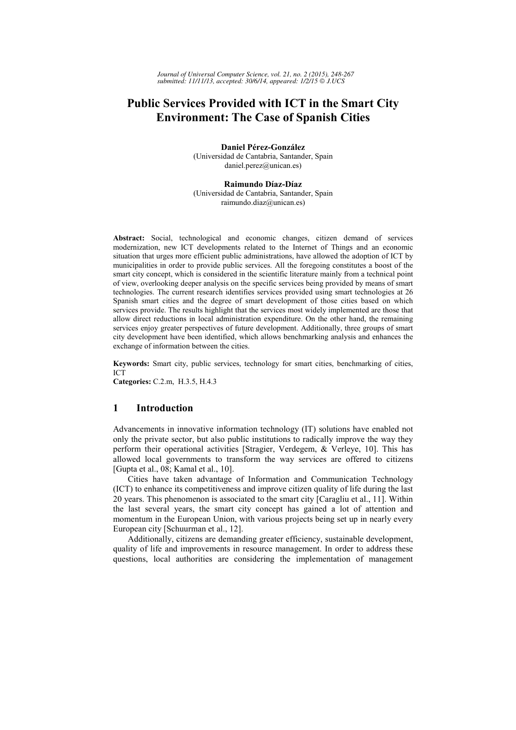# **Public Services Provided with ICT in the Smart City Environment: The Case of Spanish Cities**

**Daniel Pérez-González**  (Universidad de Cantabria, Santander, Spain daniel.perez@unican.es)

**Raimundo Díaz-Díaz** (Universidad de Cantabria, Santander, Spain raimundo.diaz@unican.es)

**Abstract:** Social, technological and economic changes, citizen demand of services modernization, new ICT developments related to the Internet of Things and an economic situation that urges more efficient public administrations, have allowed the adoption of ICT by municipalities in order to provide public services. All the foregoing constitutes a boost of the smart city concept, which is considered in the scientific literature mainly from a technical point of view, overlooking deeper analysis on the specific services being provided by means of smart technologies. The current research identifies services provided using smart technologies at 26 Spanish smart cities and the degree of smart development of those cities based on which services provide. The results highlight that the services most widely implemented are those that allow direct reductions in local administration expenditure. On the other hand, the remaining services enjoy greater perspectives of future development. Additionally, three groups of smart city development have been identified, which allows benchmarking analysis and enhances the exchange of information between the cities.

**Keywords:** Smart city, public services, technology for smart cities, benchmarking of cities, ICT

**Categories:** C.2.m, H.3.5, H.4.3

## **1 Introduction**

Advancements in innovative information technology (IT) solutions have enabled not only the private sector, but also public institutions to radically improve the way they perform their operational activities [Stragier, Verdegem, & Verleye, 10]. This has allowed local governments to transform the way services are offered to citizens [Gupta et al., 08; Kamal et al., 10].

Cities have taken advantage of Information and Communication Technology (ICT) to enhance its competitiveness and improve citizen quality of life during the last 20 years. This phenomenon is associated to the smart city [Caragliu et al., 11]. Within the last several years, the smart city concept has gained a lot of attention and momentum in the European Union, with various projects being set up in nearly every European city [Schuurman et al., 12].

Additionally, citizens are demanding greater efficiency, sustainable development, quality of life and improvements in resource management. In order to address these questions, local authorities are considering the implementation of management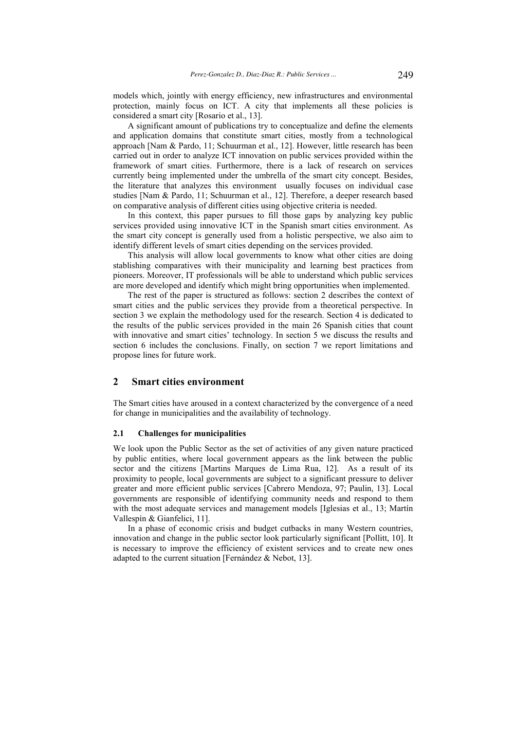models which, jointly with energy efficiency, new infrastructures and environmental protection, mainly focus on ICT. A city that implements all these policies is considered a smart city [Rosario et al., 13].

A significant amount of publications try to conceptualize and define the elements and application domains that constitute smart cities, mostly from a technological approach [Nam & Pardo, 11; Schuurman et al., 12]. However, little research has been carried out in order to analyze ICT innovation on public services provided within the framework of smart cities. Furthermore, there is a lack of research on services currently being implemented under the umbrella of the smart city concept. Besides, the literature that analyzes this environment usually focuses on individual case studies [Nam & Pardo, 11; Schuurman et al., 12]. Therefore, a deeper research based on comparative analysis of different cities using objective criteria is needed.

In this context, this paper pursues to fill those gaps by analyzing key public services provided using innovative ICT in the Spanish smart cities environment. As the smart city concept is generally used from a holistic perspective, we also aim to identify different levels of smart cities depending on the services provided.

This analysis will allow local governments to know what other cities are doing stablishing comparatives with their municipality and learning best practices from pioneers. Moreover, IT professionals will be able to understand which public services are more developed and identify which might bring opportunities when implemented.

The rest of the paper is structured as follows: section 2 describes the context of smart cities and the public services they provide from a theoretical perspective. In section 3 we explain the methodology used for the research. Section 4 is dedicated to the results of the public services provided in the main 26 Spanish cities that count with innovative and smart cities' technology. In section 5 we discuss the results and section 6 includes the conclusions. Finally, on section 7 we report limitations and propose lines for future work.

### **2 Smart cities environment**

The Smart cities have aroused in a context characterized by the convergence of a need for change in municipalities and the availability of technology.

### **2.1 Challenges for municipalities**

We look upon the Public Sector as the set of activities of any given nature practiced by public entities, where local government appears as the link between the public sector and the citizens [Martins Marques de Lima Rua, 12]. As a result of its proximity to people, local governments are subject to a significant pressure to deliver greater and more efficient public services [Cabrero Mendoza, 97; Paulin, 13]. Local governments are responsible of identifying community needs and respond to them with the most adequate services and management models [Iglesias et al., 13; Martín Vallespín & Gianfelici, 11].

In a phase of economic crisis and budget cutbacks in many Western countries, innovation and change in the public sector look particularly significant [Pollitt, 10]. It is necessary to improve the efficiency of existent services and to create new ones adapted to the current situation [Fernández & Nebot, 13].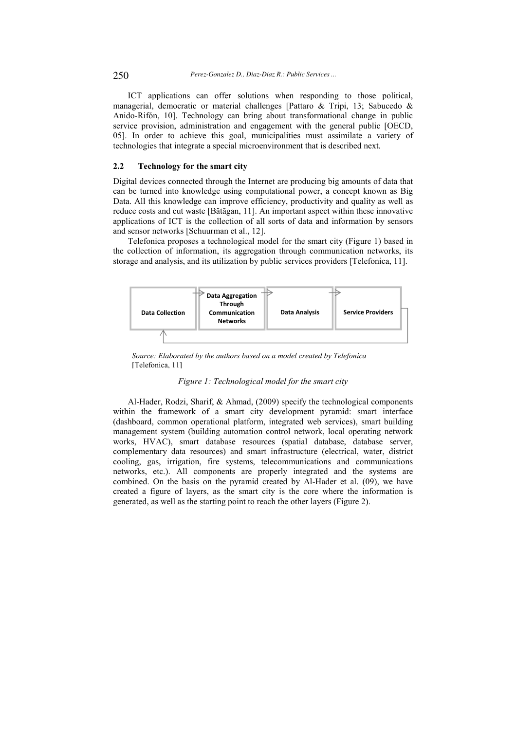ICT applications can offer solutions when responding to those political, managerial, democratic or material challenges [Pattaro & Tripi, 13; Sabucedo & Anido-Rifón, 10]. Technology can bring about transformational change in public service provision, administration and engagement with the general public [OECD, 05]. In order to achieve this goal, municipalities must assimilate a variety of technologies that integrate a special microenvironment that is described next.

### **2.2 Technology for the smart city**

Digital devices connected through the Internet are producing big amounts of data that can be turned into knowledge using computational power, a concept known as Big Data. All this knowledge can improve efficiency, productivity and quality as well as reduce costs and cut waste [Bătăgan, 11]. An important aspect within these innovative applications of ICT is the collection of all sorts of data and information by sensors and sensor networks [Schuurman et al., 12].

Telefonica proposes a technological model for the smart city (Figure 1) based in the collection of information, its aggregation through communication networks, its storage and analysis, and its utilization by public services providers [Telefonica, 11].



*Source: Elaborated by the authors based on a model created by Telefonica*  [Telefonica, 11]

### *Figure 1: Technological model for the smart city*

Al-Hader, Rodzi, Sharif, & Ahmad, (2009) specify the technological components within the framework of a smart city development pyramid: smart interface (dashboard, common operational platform, integrated web services), smart building management system (building automation control network, local operating network works, HVAC), smart database resources (spatial database, database server, complementary data resources) and smart infrastructure (electrical, water, district cooling, gas, irrigation, fire systems, telecommunications and communications networks, etc.). All components are properly integrated and the systems are combined. On the basis on the pyramid created by Al-Hader et al. (09), we have created a figure of layers, as the smart city is the core where the information is generated, as well as the starting point to reach the other layers (Figure 2).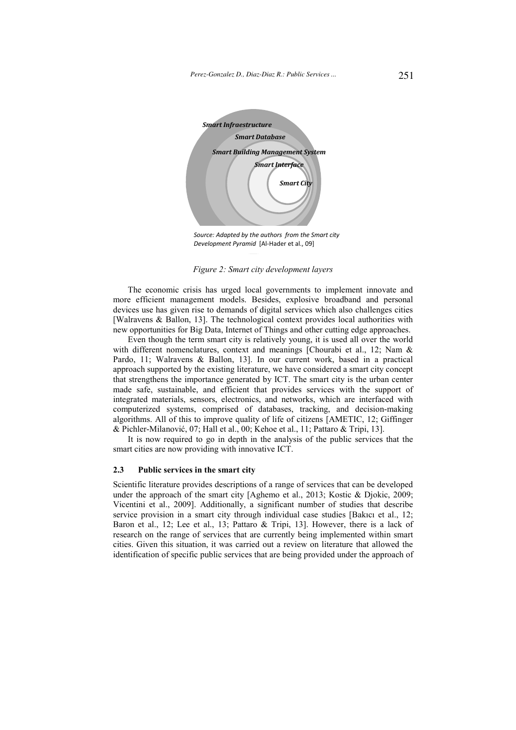

*Source: Adapted by the authors from the Smart city Development Pyramid* [Al-Hader et al., 09]

*Figure 2: Smart city development layers* 

The economic crisis has urged local governments to implement innovate and more efficient management models. Besides, explosive broadband and personal devices use has given rise to demands of digital services which also challenges cities [Walravens & Ballon, 13]. The technological context provides local authorities with new opportunities for Big Data, Internet of Things and other cutting edge approaches.

Even though the term smart city is relatively young, it is used all over the world with different nomenclatures, context and meanings [Chourabi et al., 12; Nam & Pardo, 11; Walravens & Ballon, 13]. In our current work, based in a practical approach supported by the existing literature, we have considered a smart city concept that strengthens the importance generated by ICT. The smart city is the urban center made safe, sustainable, and efficient that provides services with the support of integrated materials, sensors, electronics, and networks, which are interfaced with computerized systems, comprised of databases, tracking, and decision-making algorithms. All of this to improve quality of life of citizens [AMETIC, 12; Giffinger & Pichler-Milanović, 07; Hall et al., 00; Kehoe et al., 11; Pattaro & Tripi, 13].

It is now required to go in depth in the analysis of the public services that the smart cities are now providing with innovative ICT.

### **2.3 Public services in the smart city**

Scientific literature provides descriptions of a range of services that can be developed under the approach of the smart city [Aghemo et al., 2013; Kostic & Djokic, 2009; Vicentini et al., 2009]. Additionally, a significant number of studies that describe service provision in a smart city through individual case studies [Bakıcı et al., 12; Baron et al., 12; Lee et al., 13; Pattaro & Tripi, 13]. However, there is a lack of research on the range of services that are currently being implemented within smart cities. Given this situation, it was carried out a review on literature that allowed the identification of specific public services that are being provided under the approach of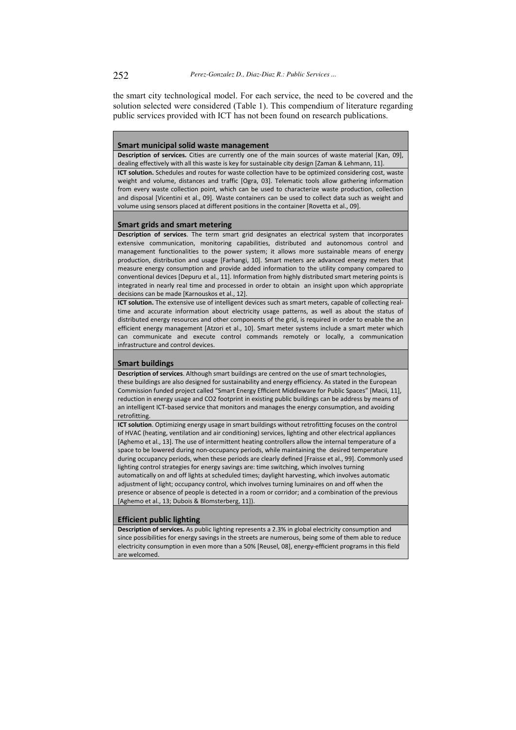the smart city technological model. For each service, the need to be covered and the solution selected were considered (Table 1). This compendium of literature regarding public services provided with ICT has not been found on research publications.

### **Smart municipal solid waste management**

**Description of services.** Cities are currently one of the main sources of waste material [Kan, 09], dealing effectively with all this waste is key for sustainable city design [Zaman & Lehmann, 11]. **ICT solution.** Schedules and routes for waste collection have to be optimized considering cost, waste weight and volume, distances and traffic [Ogra, 03]. Telematic tools allow gathering information from every waste collection point, which can be used to characterize waste production, collection and disposal [Vicentini et al., 09]. Waste containers can be used to collect data such as weight and volume using sensors placed at different positions in the container [Rovetta et al., 09].

#### **Smart grids and smart metering**

**Description of services**. The term smart grid designates an electrical system that incorporates extensive communication, monitoring capabilities, distributed and autonomous control and management functionalities to the power system; it allows more sustainable means of energy production, distribution and usage [Farhangi, 10]. Smart meters are advanced energy meters that measure energy consumption and provide added information to the utility company compared to conventional devices [Depuru et al., 11]. Information from highly distributed smart metering points is integrated in nearly real time and processed in order to obtain an insight upon which appropriate decisions can be made [Karnouskos et al., 12].

**ICT solution.** The extensive use of intelligent devices such as smart meters, capable of collecting realtime and accurate information about electricity usage patterns, as well as about the status of distributed energy resources and other components of the grid, is required in order to enable the an efficient energy management [Atzori et al., 10]. Smart meter systems include a smart meter which can communicate and execute control commands remotely or locally, a communication infrastructure and control devices.

#### **Smart buildings**

**Description of services**. Although smart buildings are centred on the use of smart technologies, these buildings are also designed for sustainability and energy efficiency. As stated in the European Commission funded project called "Smart Energy Efficient Middleware for Public Spaces" [Macii, 11], reduction in energy usage and CO2 footprint in existing public buildings can be address by means of an intelligent ICT-based service that monitors and manages the energy consumption, and avoiding retrofitting.

**ICT solution**. Optimizing energy usage in smart buildings without retrofitting focuses on the control of HVAC (heating, ventilation and air conditioning) services, lighting and other electrical appliances [Aghemo et al., 13]. The use of intermittent heating controllers allow the internal temperature of a space to be lowered during non-occupancy periods, while maintaining the desired temperature during occupancy periods, when these periods are clearly defined [Fraisse et al., 99]. Commonly used lighting control strategies for energy savings are: time switching, which involves turning automatically on and off lights at scheduled times; daylight harvesting, which involves automatic adjustment of light; occupancy control, which involves turning luminaires on and off when the presence or absence of people is detected in a room or corridor; and a combination of the previous [Aghemo et al., 13; Dubois & Blomsterberg, 11]).

#### **Efficient public lighting**

**Description of services.** As public lighting represents a 2.3% in global electricity consumption and since possibilities for energy savings in the streets are numerous, being some of them able to reduce electricity consumption in even more than a 50% [Reusel, 08], energy-efficient programs in this field are welcomed.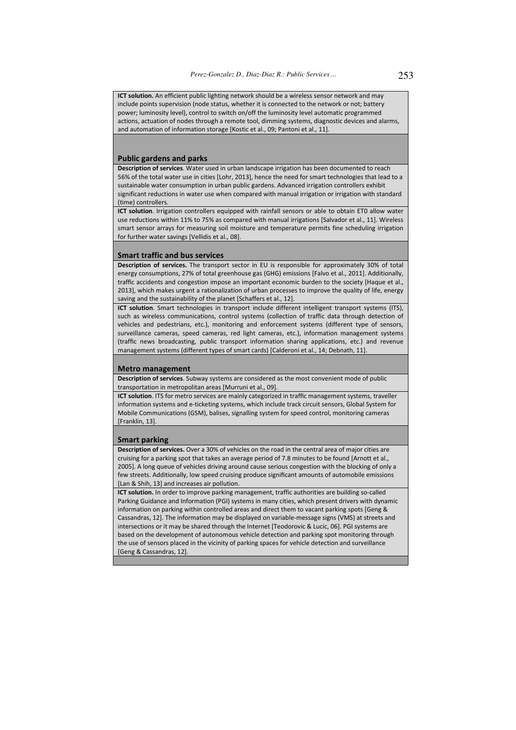**ICT solution.** An efficient public lighting network should be a wireless sensor network and may include points supervision (node status, whether it is connected to the network or not; battery power; luminosity level), control to switch on/off the luminosity level automatic programmed actions, actuation of nodes through a remote tool, dimming systems, diagnostic devices and alarms, and automation of information storage [Kostic et al., 09; Pantoni et al., 11].

### **Public gardens and parks**

**Description of services**. Water used in urban landscape irrigation has been documented to reach 56% of the total water use in cities [Lohr, 2013], hence the need for smart technologies that lead to a sustainable water consumption in urban public gardens. Advanced irrigation controllers exhibit significant reductions in water use when compared with manual irrigation or irrigation with standard (time) controllers.

**ICT solution**. Irrigation controllers equipped with rainfall sensors or able to obtain ET0 allow water use reductions within 11% to 75% as compared with manual irrigations [Salvador et al., 11]. Wireless smart sensor arrays for measuring soil moisture and temperature permits fine scheduling irrigation for further water savings [Vellidis et al., 08].

#### **Smart traffic and bus services**

**Description of services.** The transport sector in EU is responsible for approximately 30% of total energy consumptions, 27% of total greenhouse gas (GHG) emissions [Falvo et al., 2011]. Additionally, traffic accidents and congestion impose an important economic burden to the society [Haque et al., 2013], which makes urgent a rationalization of urban processes to improve the quality of life, energy saving and the sustainability of the planet [Schaffers et al., 12].

**ICT solution**. Smart technologies in transport include different intelligent transport systems (ITS), such as wireless communications, control systems (collection of traffic data through detection of vehicles and pedestrians, etc.), monitoring and enforcement systems (different type of sensors, surveillance cameras, speed cameras, red light cameras, etc.), information management systems (traffic news broadcasting, public transport information sharing applications, etc.) and revenue management systems (different types of smart cards) [Calderoni et al., 14; Debnath, 11].

#### **Metro management**

**Description of services**. Subway systems are considered as the most convenient mode of public transportation in metropolitan areas [Murruni et al., 09].

**ICT solution**. ITS for metro services are mainly categorized in traffic management systems, traveller information systems and e-ticketing systems, which include track circuit sensors, Global System for Mobile Communications (GSM), balises, signalling system for speed control, monitoring cameras [Franklin, 13].

#### **Smart parking**

**Description of services.** Over a 30% of vehicles on the road in the central area of major cities are cruising for a parking spot that takes an average period of 7.8 minutes to be found [Arnott et al., 2005]. A long queue of vehicles driving around cause serious congestion with the blocking of only a few streets. Additionally, low speed cruising produce significant amounts of automobile emissions [Lan & Shih, 13] and increases air pollution.

**ICT solution.** In order to improve parking management, traffic authorities are building so-called Parking Guidance and Information (PGI) systems in many cities, which present drivers with dynamic information on parking within controlled areas and direct them to vacant parking spots [Geng & Cassandras, 12]. The information may be displayed on variable-message signs (VMS) at streets and intersections or it may be shared through the Internet [Teodorovic & Lucic, 06]. PGI systems are based on the development of autonomous vehicle detection and parking spot monitoring through the use of sensors placed in the vicinity of parking spaces for vehicle detection and surveillance [Geng & Cassandras, 12].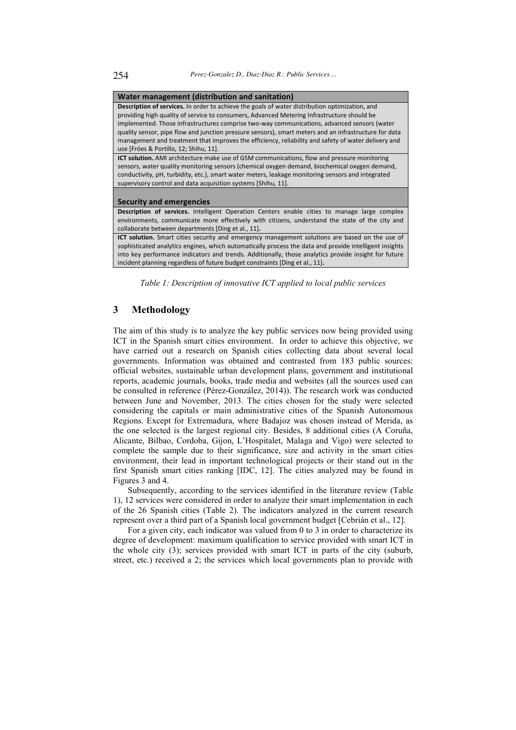| Water management (distribution and sanitation)                                                         |  |  |  |  |  |  |  |
|--------------------------------------------------------------------------------------------------------|--|--|--|--|--|--|--|
| <b>Description of services.</b> In order to achieve the goals of water distribution optimization, and  |  |  |  |  |  |  |  |
| providing high quality of service to consumers, Advanced Metering Infrastructure should be             |  |  |  |  |  |  |  |
| implemented. Those infrastructures comprise two-way communications, advanced sensors (water            |  |  |  |  |  |  |  |
| quality sensor, pipe flow and junction pressure sensors), smart meters and an infrastructure for data  |  |  |  |  |  |  |  |
| management and treatment that improves the efficiency, reliability and safety of water delivery and    |  |  |  |  |  |  |  |
| use [Fróes & Portillo, 12; Shihu, 11].                                                                 |  |  |  |  |  |  |  |
| <b>ICT solution.</b> AMI architecture make use of GSM communications, flow and pressure monitoring     |  |  |  |  |  |  |  |
| sensors, water quality monitoring sensors (chemical oxygen demand, biochemical oxygen demand,          |  |  |  |  |  |  |  |
| conductivity, pH, turbidity, etc.), smart water meters, leakage monitoring sensors and integrated      |  |  |  |  |  |  |  |
| supervisory control and data acquisition systems [Shihu, 11].                                          |  |  |  |  |  |  |  |
|                                                                                                        |  |  |  |  |  |  |  |
| <b>Security and emergencies</b>                                                                        |  |  |  |  |  |  |  |
| Description of services. Intelligent Operation Centers enable cities to manage large complex           |  |  |  |  |  |  |  |
| environments, communicate more effectively with citizens, understand the state of the city and         |  |  |  |  |  |  |  |
| collaborate between departments [Ding et al., 11].                                                     |  |  |  |  |  |  |  |
| ICT solution. Smart cities security and emergency management solutions are based on the use of         |  |  |  |  |  |  |  |
| sophisticated analytics engines, which automatically process the data and provide intelligent insights |  |  |  |  |  |  |  |
| into key performance indicators and trends. Additionally, those analytics provide insight for future   |  |  |  |  |  |  |  |
| incident planning regardless of future budget constraints [Ding et al., 11].                           |  |  |  |  |  |  |  |
|                                                                                                        |  |  |  |  |  |  |  |

*Table 1: Description of innovative ICT applied to local public services* 

## **3 Methodology**

The aim of this study is to analyze the key public services now being provided using ICT in the Spanish smart cities environment. In order to achieve this objective, we have carried out a research on Spanish cities collecting data about several local governments. Information was obtained and contrasted from 183 public sources: official websites, sustainable urban development plans, government and institutional reports, academic journals, books, trade media and websites (all the sources used can be consulted in reference (Pérez-González, 2014)). The research work was conducted between June and November, 2013. The cities chosen for the study were selected considering the capitals or main administrative cities of the Spanish Autonomous Regions. Except for Extremadura, where Badajoz was chosen instead of Merida, as the one selected is the largest regional city. Besides, 8 additional cities (A Coruña, Alicante, Bilbao, Cordoba, Gijon, L'Hospitalet, Malaga and Vigo) were selected to complete the sample due to their significance, size and activity in the smart cities environment, their lead in important technological projects or their stand out in the first Spanish smart cities ranking [IDC, 12]. The cities analyzed may be found in Figures 3 and 4.

Subsequently, according to the services identified in the literature review (Table 1), 12 services were considered in order to analyze their smart implementation in each of the 26 Spanish cities (Table 2). The indicators analyzed in the current research represent over a third part of a Spanish local government budget [Cebrián et al., 12].

For a given city, each indicator was valued from 0 to 3 in order to characterize its degree of development: maximum qualification to service provided with smart ICT in the whole city (3); services provided with smart ICT in parts of the city (suburb, street, etc.) received a 2; the services which local governments plan to provide with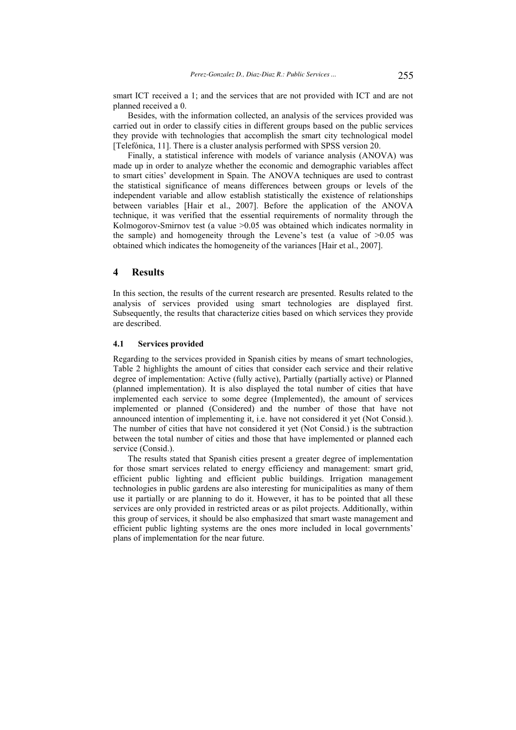smart ICT received a 1; and the services that are not provided with ICT and are not planned received a 0.

Besides, with the information collected, an analysis of the services provided was carried out in order to classify cities in different groups based on the public services they provide with technologies that accomplish the smart city technological model [Telefónica, 11]. There is a cluster analysis performed with SPSS version 20.

Finally, a statistical inference with models of variance analysis (ANOVA) was made up in order to analyze whether the economic and demographic variables affect to smart cities' development in Spain. The ANOVA techniques are used to contrast the statistical significance of means differences between groups or levels of the independent variable and allow establish statistically the existence of relationships between variables [Hair et al., 2007]. Before the application of the ANOVA technique, it was verified that the essential requirements of normality through the Kolmogorov-Smirnov test (a value > 0.05 was obtained which indicates normality in the sample) and homogeneity through the Levene's test (a value of  $>0.05$  was obtained which indicates the homogeneity of the variances [Hair et al., 2007].

### **4 Results**

In this section, the results of the current research are presented. Results related to the analysis of services provided using smart technologies are displayed first. Subsequently, the results that characterize cities based on which services they provide are described.

### **4.1 Services provided**

Regarding to the services provided in Spanish cities by means of smart technologies, Table 2 highlights the amount of cities that consider each service and their relative degree of implementation: Active (fully active), Partially (partially active) or Planned (planned implementation). It is also displayed the total number of cities that have implemented each service to some degree (Implemented), the amount of services implemented or planned (Considered) and the number of those that have not announced intention of implementing it, i.e. have not considered it yet (Not Consid.). The number of cities that have not considered it yet (Not Consid.) is the subtraction between the total number of cities and those that have implemented or planned each service (Consid.).

The results stated that Spanish cities present a greater degree of implementation for those smart services related to energy efficiency and management: smart grid, efficient public lighting and efficient public buildings. Irrigation management technologies in public gardens are also interesting for municipalities as many of them use it partially or are planning to do it. However, it has to be pointed that all these services are only provided in restricted areas or as pilot projects. Additionally, within this group of services, it should be also emphasized that smart waste management and efficient public lighting systems are the ones more included in local governments' plans of implementation for the near future.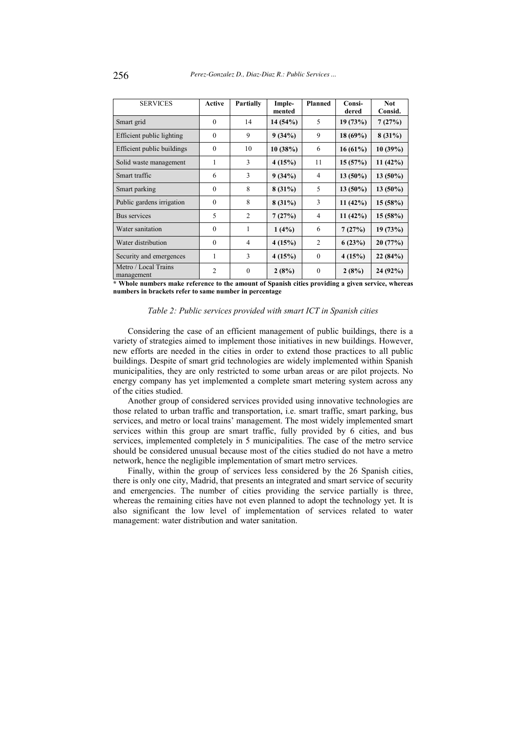| <b>SERVICES</b>                    | Active         | <b>Partially</b> | <b>Planned</b><br>Imple-<br>mented |              | Consi-<br>dered | <b>Not</b><br>Consid. |
|------------------------------------|----------------|------------------|------------------------------------|--------------|-----------------|-----------------------|
| Smart grid                         | $\theta$       | 14               | 14(54%)                            | 5            | 19(73%)         | 7(27%)                |
| Efficient public lighting          | $\Omega$       | 9                | 9(34%)                             | 9            | $18(69\%)$      | $8(31\%)$             |
| Efficient public buildings         | $\Omega$       | 10               | 10(38%)                            | 6            | $16(61\%)$      | 10(39%)               |
| Solid waste management             | 1              | 3                | 4(15%)                             | 11           | 15(57%)         | 11(42%)               |
| Smart traffic                      | 6              | 3                | 9(34%)                             | 4            | $13(50\%)$      | $13(50\%)$            |
| Smart parking                      | $\theta$       | 8                | $8(31\%)$                          | 5            | $13(50\%)$      | $13(50\%)$            |
| Public gardens irrigation          | $\theta$       | 8                | $8(31\%)$                          | 3            | 11(42%)         | 15(58%)               |
| Bus services                       | 5              | 2                | 7(27%)                             | 4            | 11(42%)         | 15(58%)               |
| Water sanitation                   | $\theta$       | 1                | $1(4\%)$                           | 6            | 7(27%)          | 19(73%)               |
| Water distribution                 | $\theta$       | $\overline{4}$   | 4(15%)                             | 2            | 6(23%)          | 20(77%)               |
| Security and emergences            | 1              | 3                | 4(15%)                             | $\theta$     | 4(15%)          | 22(84%)               |
| Metro / Local Trains<br>management | $\overline{2}$ | $\mathbf{0}$     | 2(8%)                              | $\mathbf{0}$ | 2(8%)           | 24 (92%)              |

**\* Whole numbers make reference to the amount of Spanish cities providing a given service, whereas numbers in brackets refer to same number in percentage** 

### *Table 2: Public services provided with smart ICT in Spanish cities*

Considering the case of an efficient management of public buildings, there is a variety of strategies aimed to implement those initiatives in new buildings. However, new efforts are needed in the cities in order to extend those practices to all public buildings. Despite of smart grid technologies are widely implemented within Spanish municipalities, they are only restricted to some urban areas or are pilot projects. No energy company has yet implemented a complete smart metering system across any of the cities studied.

Another group of considered services provided using innovative technologies are those related to urban traffic and transportation, i.e. smart traffic, smart parking, bus services, and metro or local trains' management. The most widely implemented smart services within this group are smart traffic, fully provided by 6 cities, and bus services, implemented completely in 5 municipalities. The case of the metro service should be considered unusual because most of the cities studied do not have a metro network, hence the negligible implementation of smart metro services.

Finally, within the group of services less considered by the 26 Spanish cities, there is only one city, Madrid, that presents an integrated and smart service of security and emergencies. The number of cities providing the service partially is three, whereas the remaining cities have not even planned to adopt the technology yet. It is also significant the low level of implementation of services related to water management: water distribution and water sanitation.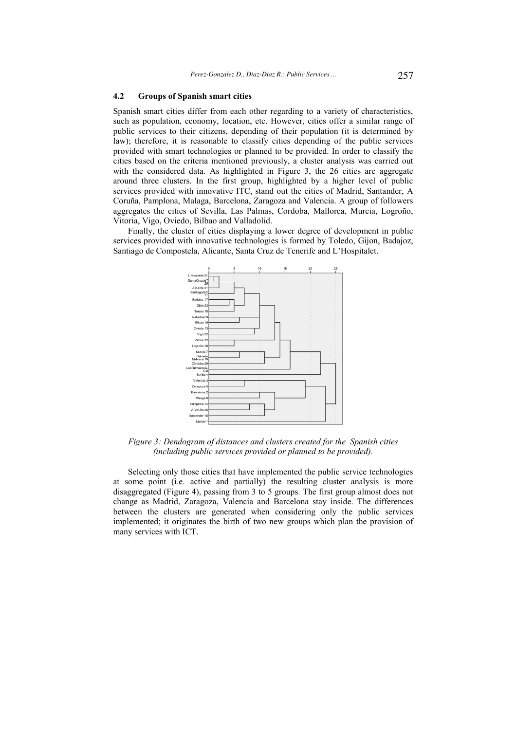### **4.2 Groups of Spanish smart cities**

Spanish smart cities differ from each other regarding to a variety of characteristics, such as population, economy, location, etc. However, cities offer a similar range of public services to their citizens, depending of their population (it is determined by law); therefore, it is reasonable to classify cities depending of the public services provided with smart technologies or planned to be provided. In order to classify the cities based on the criteria mentioned previously, a cluster analysis was carried out with the considered data. As highlighted in Figure 3, the 26 cities are aggregate around three clusters. In the first group, highlighted by a higher level of public services provided with innovative ITC, stand out the cities of Madrid, Santander, A Coruña, Pamplona, Malaga, Barcelona, Zaragoza and Valencia. A group of followers aggregates the cities of Sevilla, Las Palmas, Cordoba, Mallorca, Murcia, Logroño, Vitoria, Vigo, Oviedo, Bilbao and Valladolid.

Finally, the cluster of cities displaying a lower degree of development in public services provided with innovative technologies is formed by Toledo, Gijon, Badajoz, Santiago de Compostela, Alicante, Santa Cruz de Tenerife and L'Hospitalet.



*Figure 3: Dendogram of distances and clusters created for the Spanish cities (including public services provided or planned to be provided).* 

Selecting only those cities that have implemented the public service technologies at some point (i.e. active and partially) the resulting cluster analysis is more disaggregated (Figure 4), passing from 3 to 5 groups. The first group almost does not change as Madrid, Zaragoza, Valencia and Barcelona stay inside. The differences between the clusters are generated when considering only the public services implemented; it originates the birth of two new groups which plan the provision of many services with ICT.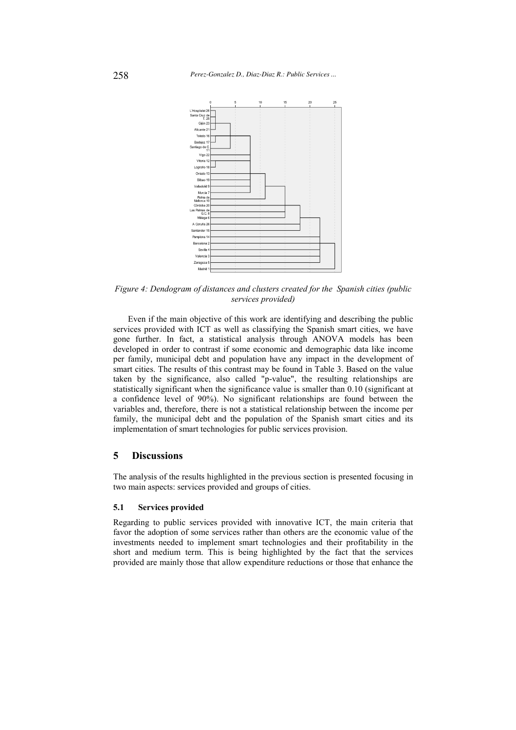

*Figure 4: Dendogram of distances and clusters created for the Spanish cities (public services provided)* 

Even if the main objective of this work are identifying and describing the public services provided with ICT as well as classifying the Spanish smart cities, we have gone further. In fact, a statistical analysis through ANOVA models has been developed in order to contrast if some economic and demographic data like income per family, municipal debt and population have any impact in the development of smart cities. The results of this contrast may be found in Table 3. Based on the value taken by the significance, also called "p-value", the resulting relationships are statistically significant when the significance value is smaller than 0.10 (significant at a confidence level of 90%). No significant relationships are found between the variables and, therefore, there is not a statistical relationship between the income per family, the municipal debt and the population of the Spanish smart cities and its implementation of smart technologies for public services provision.

## **5 Discussions**

The analysis of the results highlighted in the previous section is presented focusing in two main aspects: services provided and groups of cities.

### **5.1 Services provided**

Regarding to public services provided with innovative ICT, the main criteria that favor the adoption of some services rather than others are the economic value of the investments needed to implement smart technologies and their profitability in the short and medium term. This is being highlighted by the fact that the services provided are mainly those that allow expenditure reductions or those that enhance the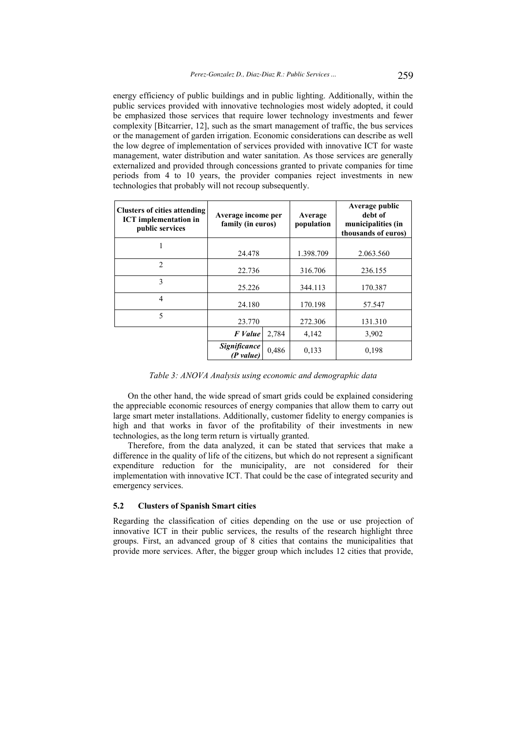energy efficiency of public buildings and in public lighting. Additionally, within the public services provided with innovative technologies most widely adopted, it could be emphasized those services that require lower technology investments and fewer complexity [Bitcarrier, 12], such as the smart management of traffic, the bus services or the management of garden irrigation. Economic considerations can describe as well the low degree of implementation of services provided with innovative ICT for waste management, water distribution and water sanitation. As those services are generally externalized and provided through concessions granted to private companies for time periods from 4 to 10 years, the provider companies reject investments in new technologies that probably will not recoup subsequently.

| <b>Clusters of cities attending</b><br><b>ICT</b> implementation in<br>public services | Average income per<br>family (in euros) |       | Average<br>population | Average public<br>debt of<br>municipalities (in<br>thousands of euros) |  |
|----------------------------------------------------------------------------------------|-----------------------------------------|-------|-----------------------|------------------------------------------------------------------------|--|
|                                                                                        | 24.478                                  |       | 1.398.709             | 2.063.560                                                              |  |
| $\overline{2}$                                                                         | 22.736                                  |       | 316.706               | 236.155                                                                |  |
| 3                                                                                      | 25.226                                  |       | 344.113               | 170.387                                                                |  |
| $\overline{4}$                                                                         | 24.180                                  |       | 170.198               | 57.547                                                                 |  |
| 5                                                                                      | 23.770                                  |       | 272.306               | 131.310                                                                |  |
|                                                                                        | F Value                                 | 2,784 | 4,142                 | 3,902                                                                  |  |
|                                                                                        | <b>Significance</b><br>(P value)        | 0,486 | 0,133                 | 0,198                                                                  |  |

*Table 3: ANOVA Analysis using economic and demographic data* 

On the other hand, the wide spread of smart grids could be explained considering the appreciable economic resources of energy companies that allow them to carry out large smart meter installations. Additionally, customer fidelity to energy companies is high and that works in favor of the profitability of their investments in new technologies, as the long term return is virtually granted.

Therefore, from the data analyzed, it can be stated that services that make a difference in the quality of life of the citizens, but which do not represent a significant expenditure reduction for the municipality, are not considered for their implementation with innovative ICT. That could be the case of integrated security and emergency services.

### **5.2 Clusters of Spanish Smart cities**

Regarding the classification of cities depending on the use or use projection of innovative ICT in their public services, the results of the research highlight three groups. First, an advanced group of 8 cities that contains the municipalities that provide more services. After, the bigger group which includes 12 cities that provide,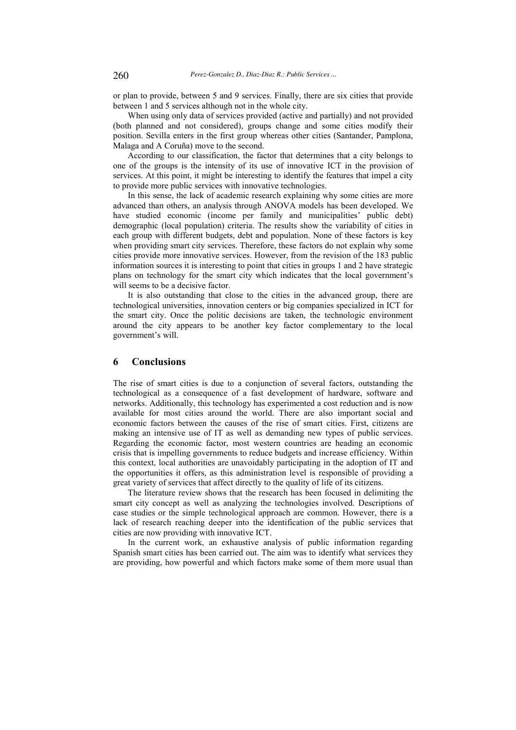or plan to provide, between 5 and 9 services. Finally, there are six cities that provide between 1 and 5 services although not in the whole city.

When using only data of services provided (active and partially) and not provided (both planned and not considered), groups change and some cities modify their position. Sevilla enters in the first group whereas other cities (Santander, Pamplona, Malaga and A Coruña) move to the second.

According to our classification, the factor that determines that a city belongs to one of the groups is the intensity of its use of innovative ICT in the provision of services. At this point, it might be interesting to identify the features that impel a city to provide more public services with innovative technologies.

In this sense, the lack of academic research explaining why some cities are more advanced than others, an analysis through ANOVA models has been developed. We have studied economic (income per family and municipalities' public debt) demographic (local population) criteria. The results show the variability of cities in each group with different budgets, debt and population. None of these factors is key when providing smart city services. Therefore, these factors do not explain why some cities provide more innovative services. However, from the revision of the 183 public information sources it is interesting to point that cities in groups 1 and 2 have strategic plans on technology for the smart city which indicates that the local government's will seems to be a decisive factor.

It is also outstanding that close to the cities in the advanced group, there are technological universities, innovation centers or big companies specialized in ICT for the smart city. Once the politic decisions are taken, the technologic environment around the city appears to be another key factor complementary to the local government's will.

## **6 Conclusions**

The rise of smart cities is due to a conjunction of several factors, outstanding the technological as a consequence of a fast development of hardware, software and networks. Additionally, this technology has experimented a cost reduction and is now available for most cities around the world. There are also important social and economic factors between the causes of the rise of smart cities. First, citizens are making an intensive use of IT as well as demanding new types of public services. Regarding the economic factor, most western countries are heading an economic crisis that is impelling governments to reduce budgets and increase efficiency. Within this context, local authorities are unavoidably participating in the adoption of IT and the opportunities it offers, as this administration level is responsible of providing a great variety of services that affect directly to the quality of life of its citizens.

The literature review shows that the research has been focused in delimiting the smart city concept as well as analyzing the technologies involved. Descriptions of case studies or the simple technological approach are common. However, there is a lack of research reaching deeper into the identification of the public services that cities are now providing with innovative ICT.

In the current work, an exhaustive analysis of public information regarding Spanish smart cities has been carried out. The aim was to identify what services they are providing, how powerful and which factors make some of them more usual than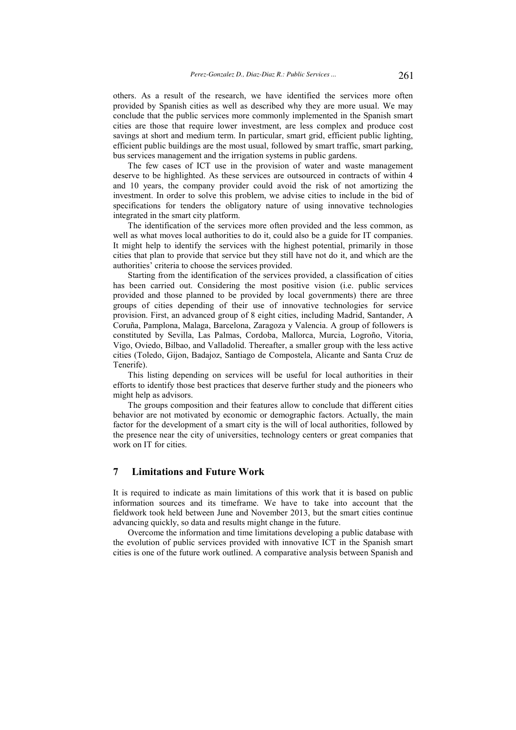others. As a result of the research, we have identified the services more often provided by Spanish cities as well as described why they are more usual. We may conclude that the public services more commonly implemented in the Spanish smart cities are those that require lower investment, are less complex and produce cost savings at short and medium term. In particular, smart grid, efficient public lighting, efficient public buildings are the most usual, followed by smart traffic, smart parking, bus services management and the irrigation systems in public gardens.

The few cases of ICT use in the provision of water and waste management deserve to be highlighted. As these services are outsourced in contracts of within 4 and 10 years, the company provider could avoid the risk of not amortizing the investment. In order to solve this problem, we advise cities to include in the bid of specifications for tenders the obligatory nature of using innovative technologies integrated in the smart city platform.

The identification of the services more often provided and the less common, as well as what moves local authorities to do it, could also be a guide for IT companies. It might help to identify the services with the highest potential, primarily in those cities that plan to provide that service but they still have not do it, and which are the authorities' criteria to choose the services provided.

Starting from the identification of the services provided, a classification of cities has been carried out. Considering the most positive vision (i.e. public services provided and those planned to be provided by local governments) there are three groups of cities depending of their use of innovative technologies for service provision. First, an advanced group of 8 eight cities, including Madrid, Santander, A Coruña, Pamplona, Malaga, Barcelona, Zaragoza y Valencia. A group of followers is constituted by Sevilla, Las Palmas, Cordoba, Mallorca, Murcia, Logroño, Vitoria, Vigo, Oviedo, Bilbao, and Valladolid. Thereafter, a smaller group with the less active cities (Toledo, Gijon, Badajoz, Santiago de Compostela, Alicante and Santa Cruz de Tenerife).

This listing depending on services will be useful for local authorities in their efforts to identify those best practices that deserve further study and the pioneers who might help as advisors.

The groups composition and their features allow to conclude that different cities behavior are not motivated by economic or demographic factors. Actually, the main factor for the development of a smart city is the will of local authorities, followed by the presence near the city of universities, technology centers or great companies that work on IT for cities.

## **7 Limitations and Future Work**

It is required to indicate as main limitations of this work that it is based on public information sources and its timeframe. We have to take into account that the fieldwork took held between June and November 2013, but the smart cities continue advancing quickly, so data and results might change in the future.

Overcome the information and time limitations developing a public database with the evolution of public services provided with innovative ICT in the Spanish smart cities is one of the future work outlined. A comparative analysis between Spanish and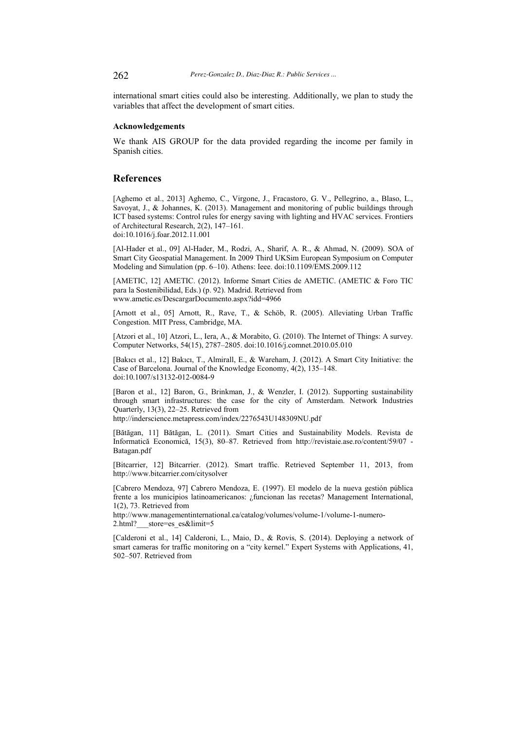international smart cities could also be interesting. Additionally, we plan to study the variables that affect the development of smart cities.

### **Acknowledgements**

We thank AIS GROUP for the data provided regarding the income per family in Spanish cities.

## **References**

[Aghemo et al., 2013] Aghemo, C., Virgone, J., Fracastoro, G. V., Pellegrino, a., Blaso, L., Savoyat, J., & Johannes, K. (2013). Management and monitoring of public buildings through ICT based systems: Control rules for energy saving with lighting and HVAC services. Frontiers of Architectural Research, 2(2), 147–161. doi:10.1016/j.foar.2012.11.001

[Al-Hader et al., 09] Al-Hader, M., Rodzi, A., Sharif, A. R., & Ahmad, N. (2009). SOA of Smart City Geospatial Management. In 2009 Third UKSim European Symposium on Computer Modeling and Simulation (pp. 6–10). Athens: Ieee. doi:10.1109/EMS.2009.112

[AMETIC, 12] AMETIC. (2012). Informe Smart Cities de AMETIC. (AMETIC & Foro TIC para la Sostenibilidad, Eds.) (p. 92). Madrid. Retrieved from www.ametic.es/DescargarDocumento.aspx?idd=4966

[Arnott et al., 05] Arnott, R., Rave, T., & Schöb, R. (2005). Alleviating Urban Traffic Congestion. MIT Press, Cambridge, MA.

[Atzori et al., 10] Atzori, L., Iera, A., & Morabito, G. (2010). The Internet of Things: A survey. Computer Networks, 54(15), 2787–2805. doi:10.1016/j.comnet.2010.05.010

[Bakıcı et al., 12] Bakıcı, T., Almirall, E., & Wareham, J. (2012). A Smart City Initiative: the Case of Barcelona. Journal of the Knowledge Economy, 4(2), 135–148. doi:10.1007/s13132-012-0084-9

[Baron et al., 12] Baron, G., Brinkman, J., & Wenzler, I. (2012). Supporting sustainability through smart infrastructures: the case for the city of Amsterdam. Network Industries Quarterly, 13(3), 22–25. Retrieved from

http://inderscience.metapress.com/index/2276543U148309NU.pdf

[Bătăgan, 11] Bătăgan, L. (2011). Smart Cities and Sustainability Models. Revista de Informatică Economică, 15(3), 80–87. Retrieved from http://revistaie.ase.ro/content/59/07 - Batagan.pdf

[Bitcarrier, 12] Bitcarrier. (2012). Smart traffic. Retrieved September 11, 2013, from http://www.bitcarrier.com/citysolver

[Cabrero Mendoza, 97] Cabrero Mendoza, E. (1997). El modelo de la nueva gestión pública frente a los municipios latinoamericanos: ¿funcionan las recetas? Management International, 1(2), 73. Retrieved from

http://www.managementinternational.ca/catalog/volumes/volume-1/volume-1-numero-2.html? store=es\_es&limit=5

[Calderoni et al., 14] Calderoni, L., Maio, D., & Rovis, S. (2014). Deploying a network of smart cameras for traffic monitoring on a "city kernel." Expert Systems with Applications, 41, 502–507. Retrieved from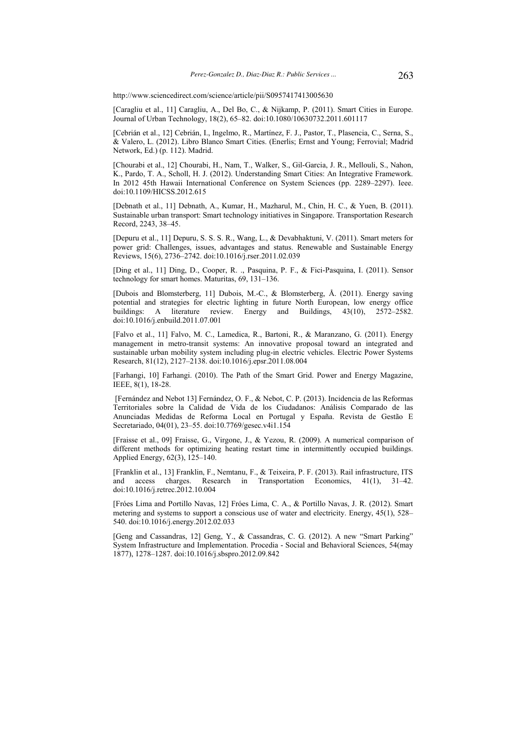http://www.sciencedirect.com/science/article/pii/S0957417413005630

[Caragliu et al., 11] Caragliu, A., Del Bo, C., & Nijkamp, P. (2011). Smart Cities in Europe. Journal of Urban Technology, 18(2), 65–82. doi:10.1080/10630732.2011.601117

[Cebrián et al., 12] Cebrián, I., Ingelmo, R., Martínez, F. J., Pastor, T., Plasencia, C., Serna, S., & Valero, L. (2012). Libro Blanco Smart Cities. (Enerlis; Ernst and Young; Ferrovial; Madrid Network, Ed.) (p. 112). Madrid.

[Chourabi et al., 12] Chourabi, H., Nam, T., Walker, S., Gil-Garcia, J. R., Mellouli, S., Nahon, K., Pardo, T. A., Scholl, H. J. (2012). Understanding Smart Cities: An Integrative Framework. In 2012 45th Hawaii International Conference on System Sciences (pp. 2289–2297). Ieee. doi:10.1109/HICSS.2012.615

[Debnath et al., 11] Debnath, A., Kumar, H., Mazharul, M., Chin, H. C., & Yuen, B. (2011). Sustainable urban transport: Smart technology initiatives in Singapore. Transportation Research Record, 2243, 38–45.

[Depuru et al., 11] Depuru, S. S. S. R., Wang, L., & Devabhaktuni, V. (2011). Smart meters for power grid: Challenges, issues, advantages and status. Renewable and Sustainable Energy Reviews, 15(6), 2736–2742. doi:10.1016/j.rser.2011.02.039

[Ding et al., 11] Ding, D., Cooper, R. ., Pasquina, P. F., & Fici-Pasquina, I. (2011). Sensor technology for smart homes. Maturitas, 69, 131–136.

[Dubois and Blomsterberg, 11] Dubois, M.-C., & Blomsterberg, Å. (2011). Energy saving potential and strategies for electric lighting in future North European, low energy office buildings: A literature review. Energy and Buildings, 43(10), 2572–2582. doi:10.1016/j.enbuild.2011.07.001

[Falvo et al., 11] Falvo, M. C., Lamedica, R., Bartoni, R., & Maranzano, G. (2011). Energy management in metro-transit systems: An innovative proposal toward an integrated and sustainable urban mobility system including plug-in electric vehicles. Electric Power Systems Research, 81(12), 2127–2138. doi:10.1016/j.epsr.2011.08.004

[Farhangi, 10] Farhangi. (2010). The Path of the Smart Grid. Power and Energy Magazine, IEEE, 8(1), 18-28.

 [Fernández and Nebot 13] Fernández, O. F., & Nebot, C. P. (2013). Incidencia de las Reformas Territoriales sobre la Calidad de Vida de los Ciudadanos: Análisis Comparado de las Anunciadas Medidas de Reforma Local en Portugal y España. Revista de Gestão E Secretariado, 04(01), 23–55. doi:10.7769/gesec.v4i1.154

[Fraisse et al., 09] Fraisse, G., Virgone, J., & Yezou, R. (2009). A numerical comparison of different methods for optimizing heating restart time in intermittently occupied buildings. Applied Energy, 62(3), 125–140.

[Franklin et al., 13] Franklin, F., Nemtanu, F., & Teixeira, P. F. (2013). Rail infrastructure, ITS and access charges. Research in Transportation Economics, 41(1), 31–42. doi:10.1016/j.retrec.2012.10.004

[Fróes Lima and Portillo Navas, 12] Fróes Lima, C. A., & Portillo Navas, J. R. (2012). Smart metering and systems to support a conscious use of water and electricity. Energy, 45(1), 528– 540. doi:10.1016/j.energy.2012.02.033

[Geng and Cassandras, 12] Geng, Y., & Cassandras, C. G. (2012). A new "Smart Parking" System Infrastructure and Implementation. Procedia - Social and Behavioral Sciences, 54(may 1877), 1278–1287. doi:10.1016/j.sbspro.2012.09.842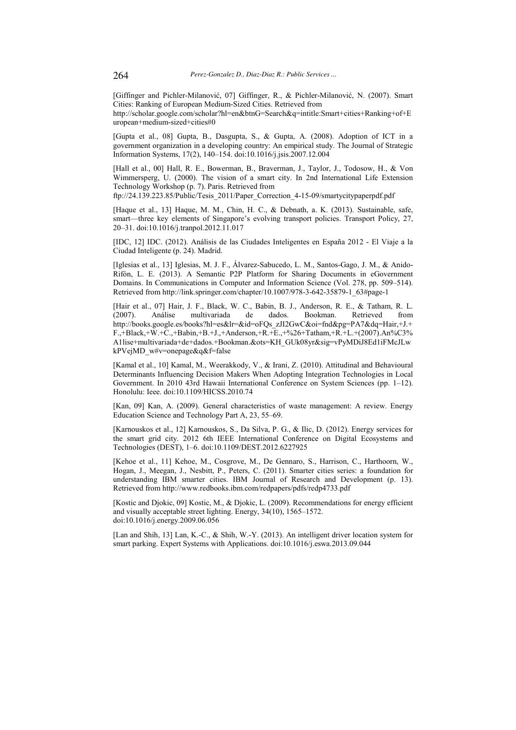[Giffinger and Pichler-Milanović, 07] Giffinger, R., & Pichler-Milanović, N. (2007). Smart Cities: Ranking of European Medium-Sized Cities. Retrieved from

http://scholar.google.com/scholar?hl=en&btnG=Search&q=intitle:Smart+cities+Ranking+of+E uropean+medium-sized+cities#0

[Gupta et al., 08] Gupta, B., Dasgupta, S., & Gupta, A. (2008). Adoption of ICT in a government organization in a developing country: An empirical study. The Journal of Strategic Information Systems, 17(2), 140–154. doi:10.1016/j.jsis.2007.12.004

[Hall et al., 00] Hall, R. E., Bowerman, B., Braverman, J., Taylor, J., Todosow, H., & Von Wimmersperg, U. (2000). The vision of a smart city. In 2nd International Life Extension Technology Workshop (p. 7). Paris. Retrieved from

ftp://24.139.223.85/Public/Tesis\_2011/Paper\_Correction\_4-15-09/smartycitypaperpdf.pdf

[Haque et al., 13] Haque, M. M., Chin, H. C., & Debnath, a. K. (2013). Sustainable, safe, smart—three key elements of Singapore's evolving transport policies. Transport Policy, 27, 20–31. doi:10.1016/j.tranpol.2012.11.017

[IDC, 12] IDC. (2012). Análisis de las Ciudades Inteligentes en España 2012 - El Viaje a la Ciudad Inteligente (p. 24). Madrid.

[Iglesias et al., 13] Iglesias, M. J. F., Álvarez-Sabucedo, L. M., Santos-Gago, J. M., & Anido-Rifón, L. E. (2013). A Semantic P2P Platform for Sharing Documents in eGovernment Domains. In Communications in Computer and Information Science (Vol. 278, pp. 509–514). Retrieved from http://link.springer.com/chapter/10.1007/978-3-642-35879-1\_63#page-1

[Hair et al., 07] Hair, J. F., Black, W. C., Babin, B. J., Anderson, R. E., & Tatham, R. L. (2007). Análise multivariada de dados. Bookman. Retrieved from http://books.google.es/books?hl=es&lr=&id=oFQs\_zJI2GwC&oi=fnd&pg=PA7&dq=Hair,+J.+ F.,+Black,+W.+C.,+Babin,+B.+J.,+Anderson,+R.+E.,+%26+Tatham,+R.+L.+(2007).An%C3% A1lise+multivariada+de+dados.+Bookman.&ots=KH\_GUk08yr&sig=vPyMDiJ8Ed1iFMcJLw kPVejMD\_w#v=onepage&q&f=false

[Kamal et al., 10] Kamal, M., Weerakkody, V., & Irani, Z. (2010). Attitudinal and Behavioural Determinants Influencing Decision Makers When Adopting Integration Technologies in Local Government. In 2010 43rd Hawaii International Conference on System Sciences (pp. 1–12). Honolulu: Ieee. doi:10.1109/HICSS.2010.74

[Kan, 09] Kan, A. (2009). General characteristics of waste management: A review. Energy Education Science and Technology Part A, 23, 55–69.

[Karnouskos et al., 12] Karnouskos, S., Da Silva, P. G., & Ilic, D. (2012). Energy services for the smart grid city. 2012 6th IEEE International Conference on Digital Ecosystems and Technologies (DEST), 1–6. doi:10.1109/DEST.2012.6227925

[Kehoe et al., 11] Kehoe, M., Cosgrove, M., De Gennaro, S., Harrison, C., Harthoorn, W., Hogan, J., Meegan, J., Nesbitt, P., Peters, C. (2011). Smarter cities series: a foundation for understanding IBM smarter cities. IBM Journal of Research and Development (p. 13). Retrieved from http://www.redbooks.ibm.com/redpapers/pdfs/redp4733.pdf

[Kostic and Djokic, 09] Kostic, M., & Djokic, L. (2009). Recommendations for energy efficient and visually acceptable street lighting. Energy, 34(10), 1565–1572. doi:10.1016/j.energy.2009.06.056

[Lan and Shih, 13] Lan, K.-C., & Shih, W.-Y. (2013). An intelligent driver location system for smart parking. Expert Systems with Applications. doi:10.1016/j.eswa.2013.09.044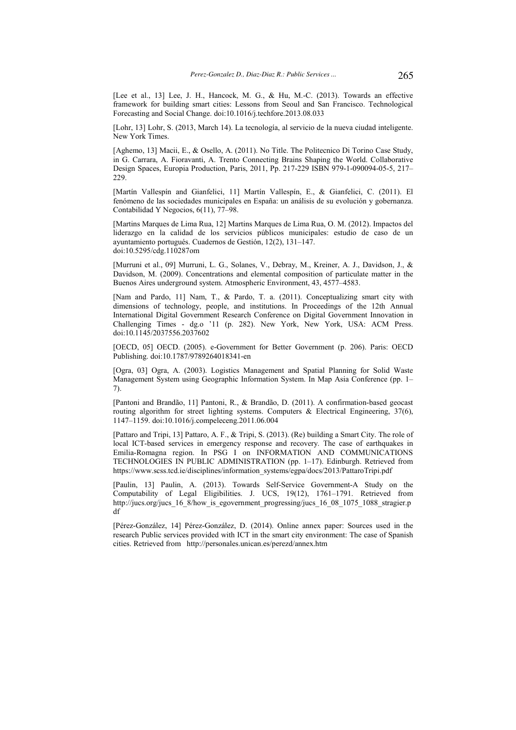[Lee et al., 13] Lee, J. H., Hancock, M. G., & Hu, M.-C. (2013). Towards an effective framework for building smart cities: Lessons from Seoul and San Francisco. Technological Forecasting and Social Change. doi:10.1016/j.techfore.2013.08.033

[Lohr, 13] Lohr, S. (2013, March 14). La tecnología, al servicio de la nueva ciudad inteligente. New York Times.

[Aghemo, 13] Macii, E., & Osello, A. (2011). No Title. The Politecnico Di Torino Case Study, in G. Carrara, A. Fioravanti, A. Trento Connecting Brains Shaping the World. Collaborative Design Spaces, Europia Production, Paris, 2011, Pp. 217-229 ISBN 979-1-090094-05-5, 217– 229.

[Martín Vallespín and Gianfelici, 11] Martín Vallespín, E., & Gianfelici, C. (2011). El fenómeno de las sociedades municipales en España: un análisis de su evolución y gobernanza. Contabilidad Y Negocios, 6(11), 77–98.

[Martins Marques de Lima Rua, 12] Martins Marques de Lima Rua, O. M. (2012). Impactos del liderazgo en la calidad de los servicios públicos municipales: estudio de caso de un ayuntamiento portugués. Cuadernos de Gestión, 12(2), 131–147. doi:10.5295/cdg.110287om

[Murruni et al., 09] Murruni, L. G., Solanes, V., Debray, M., Kreiner, A. J., Davidson, J., & Davidson, M. (2009). Concentrations and elemental composition of particulate matter in the Buenos Aires underground system. Atmospheric Environment, 43, 4577–4583.

[Nam and Pardo, 11] Nam, T., & Pardo, T. a. (2011). Conceptualizing smart city with dimensions of technology, people, and institutions. In Proceedings of the 12th Annual International Digital Government Research Conference on Digital Government Innovation in Challenging Times - dg.o '11 (p. 282). New York, New York, USA: ACM Press. doi:10.1145/2037556.2037602

[OECD, 05] OECD. (2005). e-Government for Better Government (p. 206). Paris: OECD Publishing. doi:10.1787/9789264018341-en

[Ogra, 03] Ogra, A. (2003). Logistics Management and Spatial Planning for Solid Waste Management System using Geographic Information System. In Map Asia Conference (pp. 1– 7).

[Pantoni and Brandão, 11] Pantoni, R., & Brandão, D. (2011). A confirmation-based geocast routing algorithm for street lighting systems. Computers  $\&$  Electrical Engineering, 37(6), 1147–1159. doi:10.1016/j.compeleceng.2011.06.004

[Pattaro and Tripi, 13] Pattaro, A. F., & Tripi, S. (2013). (Re) building a Smart City. The role of local ICT-based services in emergency response and recovery. The case of earthquakes in Emilia-Romagna region. In PSG I on INFORMATION AND COMMUNICATIONS TECHNOLOGIES IN PUBLIC ADMINISTRATION (pp. 1–17). Edinburgh. Retrieved from https://www.scss.tcd.ie/disciplines/information\_systems/egpa/docs/2013/PattaroTripi.pdf

[Paulin, 13] Paulin, A. (2013). Towards Self-Service Government-A Study on the Computability of Legal Eligibilities. J. UCS, 19(12), 1761–1791. Retrieved from http://jucs.org/jucs 16\_8/how is egovernment progressing/jucs 16\_08\_1075\_1088\_stragier.p df

[Pérez-González, 14] Pérez-González, D. (2014). Online annex paper: Sources used in the research Public services provided with ICT in the smart city environment: The case of Spanish cities. Retrieved from http://personales.unican.es/perezd/annex.htm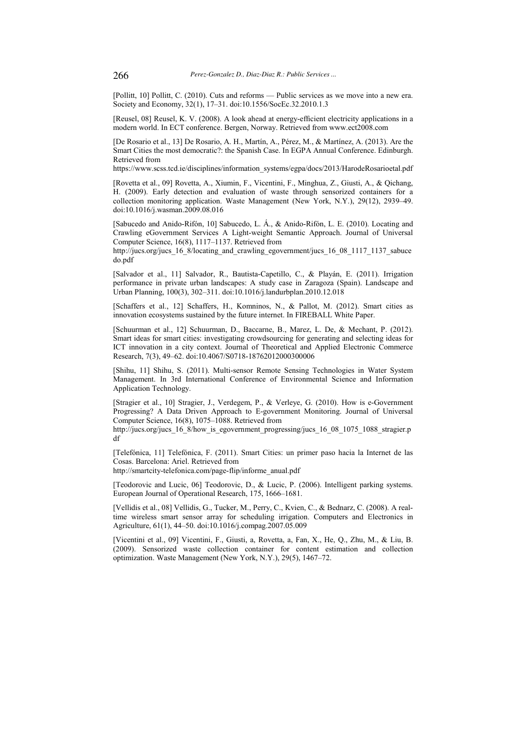[Pollitt, 10] Pollitt, C. (2010). Cuts and reforms — Public services as we move into a new era. Society and Economy, 32(1), 17–31. doi:10.1556/SocEc.32.2010.1.3

[Reusel, 08] Reusel, K. V. (2008). A look ahead at energy-efficient electricity applications in a modern world. In ECT conference. Bergen, Norway. Retrieved from www.ect2008.com

[De Rosario et al., 13] De Rosario, A. H., Martín, A., Pérez, M., & Martínez, A. (2013). Are the Smart Cities the most democratic?: the Spanish Case. In EGPA Annual Conference. Edinburgh. Retrieved from

https://www.scss.tcd.ie/disciplines/information\_systems/egpa/docs/2013/HarodeRosarioetal.pdf

[Rovetta et al., 09] Rovetta, A., Xiumin, F., Vicentini, F., Minghua, Z., Giusti, A., & Qichang, H. (2009). Early detection and evaluation of waste through sensorized containers for a collection monitoring application. Waste Management (New York, N.Y.), 29(12), 2939–49. doi:10.1016/j.wasman.2009.08.016

[Sabucedo and Anido-Rifón, 10] Sabucedo, L. Á., & Anido-Rifón, L. E. (2010). Locating and Crawling eGovernment Services A Light-weight Semantic Approach. Journal of Universal Computer Science, 16(8), 1117–1137. Retrieved from

http://jucs.org/jucs 16\_8/locating\_and\_crawling\_egovernment/jucs\_16\_08\_1117\_1137\_sabuce do.pdf

[Salvador et al., 11] Salvador, R., Bautista-Capetillo, C., & Playán, E. (2011). Irrigation performance in private urban landscapes: A study case in Zaragoza (Spain). Landscape and Urban Planning, 100(3), 302–311. doi:10.1016/j.landurbplan.2010.12.018

[Schaffers et al., 12] Schaffers, H., Komninos, N., & Pallot, M. (2012). Smart cities as innovation ecosystems sustained by the future internet. In FIREBALL White Paper.

[Schuurman et al., 12] Schuurman, D., Baccarne, B., Marez, L. De, & Mechant, P. (2012). Smart ideas for smart cities: investigating crowdsourcing for generating and selecting ideas for ICT innovation in a city context. Journal of Theoretical and Applied Electronic Commerce Research, 7(3), 49–62. doi:10.4067/S0718-18762012000300006

[Shihu, 11] Shihu, S. (2011). Multi-sensor Remote Sensing Technologies in Water System Management. In 3rd International Conference of Environmental Science and Information Application Technology.

[Stragier et al., 10] Stragier, J., Verdegem, P., & Verleye, G. (2010). How is e-Government Progressing? A Data Driven Approach to E-government Monitoring. Journal of Universal Computer Science, 16(8), 1075–1088. Retrieved from

http://jucs.org/jucs 16\_8/how is egovernment progressing/jucs 16\_08\_1075\_1088\_stragier.p df

[Telefónica, 11] Telefónica, F. (2011). Smart Cities: un primer paso hacia la Internet de las Cosas. Barcelona: Ariel. Retrieved from

http://smartcity-telefonica.com/page-flip/informe\_anual.pdf

[Teodorovic and Lucic, 06] Teodorovic, D., & Lucic, P. (2006). Intelligent parking systems. European Journal of Operational Research, 175, 1666–1681.

[Vellidis et al., 08] Vellidis, G., Tucker, M., Perry, C., Kvien, C., & Bednarz, C. (2008). A realtime wireless smart sensor array for scheduling irrigation. Computers and Electronics in Agriculture, 61(1), 44–50. doi:10.1016/j.compag.2007.05.009

[Vicentini et al., 09] Vicentini, F., Giusti, a, Rovetta, a, Fan, X., He, Q., Zhu, M., & Liu, B. (2009). Sensorized waste collection container for content estimation and collection optimization. Waste Management (New York, N.Y.), 29(5), 1467–72.